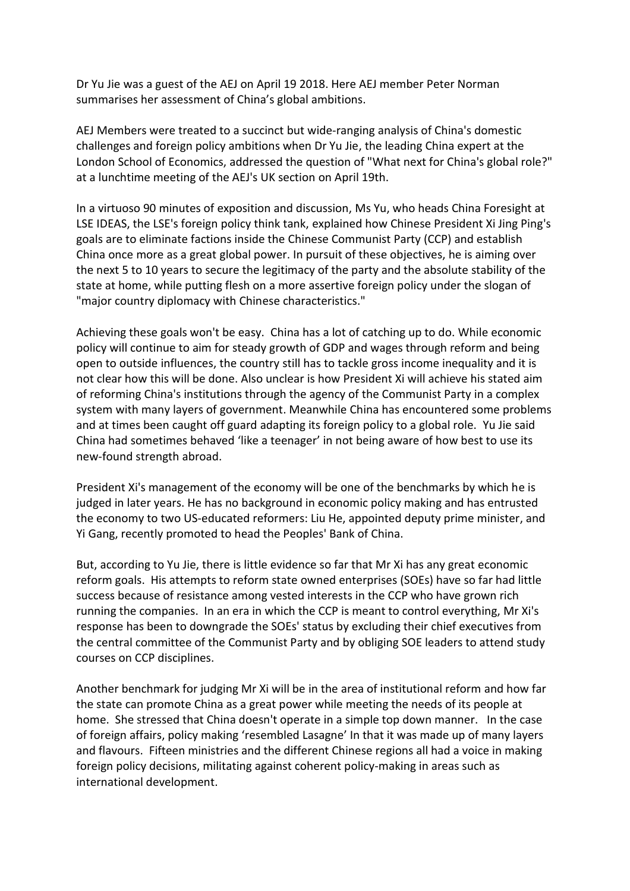Dr Yu Jie was a guest of the AEJ on April 19 2018. Here AEJ member Peter Norman summarises her assessment of China's global ambitions.

AEJ Members were treated to a succinct but wide-ranging analysis of China's domestic challenges and foreign policy ambitions when Dr Yu Jie, the leading China expert at the London School of Economics, addressed the question of "What next for China's global role?" at a lunchtime meeting of the AEJ's UK section on April 19th.

In a virtuoso 90 minutes of exposition and discussion, Ms Yu, who heads China Foresight at LSE IDEAS, the LSE's foreign policy think tank, explained how Chinese President Xi Jing Ping's goals are to eliminate factions inside the Chinese Communist Party (CCP) and establish China once more as a great global power. In pursuit of these objectives, he is aiming over the next 5 to 10 years to secure the legitimacy of the party and the absolute stability of the state at home, while putting flesh on a more assertive foreign policy under the slogan of "major country diplomacy with Chinese characteristics."

Achieving these goals won't be easy. China has a lot of catching up to do. While economic policy will continue to aim for steady growth of GDP and wages through reform and being open to outside influences, the country still has to tackle gross income inequality and it is not clear how this will be done. Also unclear is how President Xi will achieve his stated aim of reforming China's institutions through the agency of the Communist Party in a complex system with many layers of government. Meanwhile China has encountered some problems and at times been caught off guard adapting its foreign policy to a global role. Yu Jie said China had sometimes behaved 'like a teenager' in not being aware of how best to use its new-found strength abroad.

President Xi's management of the economy will be one of the benchmarks by which he is judged in later years. He has no background in economic policy making and has entrusted the economy to two US-educated reformers: Liu He, appointed deputy prime minister, and Yi Gang, recently promoted to head the Peoples' Bank of China.

But, according to Yu Jie, there is little evidence so far that Mr Xi has any great economic reform goals. His attempts to reform state owned enterprises (SOEs) have so far had little success because of resistance among vested interests in the CCP who have grown rich running the companies. In an era in which the CCP is meant to control everything, Mr Xi's response has been to downgrade the SOEs' status by excluding their chief executives from the central committee of the Communist Party and by obliging SOE leaders to attend study courses on CCP disciplines.

Another benchmark for judging Mr Xi will be in the area of institutional reform and how far the state can promote China as a great power while meeting the needs of its people at home. She stressed that China doesn't operate in a simple top down manner. In the case of foreign affairs, policy making 'resembled Lasagne' In that it was made up of many layers and flavours. Fifteen ministries and the different Chinese regions all had a voice in making foreign policy decisions, militating against coherent policy-making in areas such as international development.